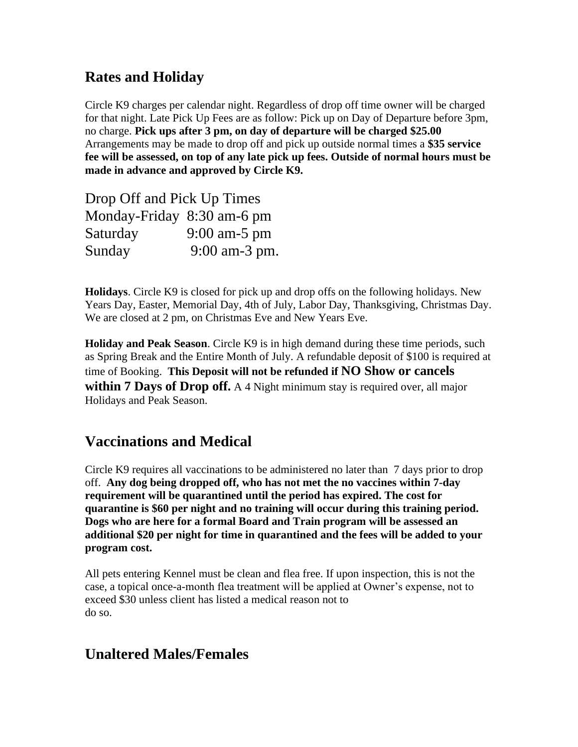# **Rates and Holiday**

Circle K9 charges per calendar night. Regardless of drop off time owner will be charged for that night. Late Pick Up Fees are as follow: Pick up on Day of Departure before 3pm, no charge. **Pick ups after 3 pm, on day of departure will be charged \$25.00** Arrangements may be made to drop off and pick up outside normal times a **\$35 service fee will be assessed, on top of any late pick up fees. Outside of normal hours must be made in advance and approved by Circle K9.** 

| Drop Off and Pick Up Times |                |
|----------------------------|----------------|
| Monday-Friday 8:30 am-6 pm |                |
| Saturday                   | $9:00$ am-5 pm |
| Sunday                     | 9:00 am-3 pm.  |

**Holidays**. Circle K9 is closed for pick up and drop offs on the following holidays. New Years Day, Easter, Memorial Day, 4th of July, Labor Day, Thanksgiving, Christmas Day. We are closed at 2 pm, on Christmas Eve and New Years Eve.

**Holiday and Peak Season**. Circle K9 is in high demand during these time periods, such as Spring Break and the Entire Month of July. A refundable deposit of \$100 is required at time of Booking. **This Deposit will not be refunded if NO Show or cancels within 7 Days of Drop off.** A 4 Night minimum stay is required over, all major Holidays and Peak Season.

### **Vaccinations and Medical**

Circle K9 requires all vaccinations to be administered no later than 7 days prior to drop off. **Any dog being dropped off, who has not met the no vaccines within 7-day requirement will be quarantined until the period has expired. The cost for quarantine is \$60 per night and no training will occur during this training period. Dogs who are here for a formal Board and Train program will be assessed an additional \$20 per night for time in quarantined and the fees will be added to your program cost.** 

All pets entering Kennel must be clean and flea free. If upon inspection, this is not the case, a topical once-a-month flea treatment will be applied at Owner's expense, not to exceed \$30 unless client has listed a medical reason not to do so.

### **Unaltered Males/Females**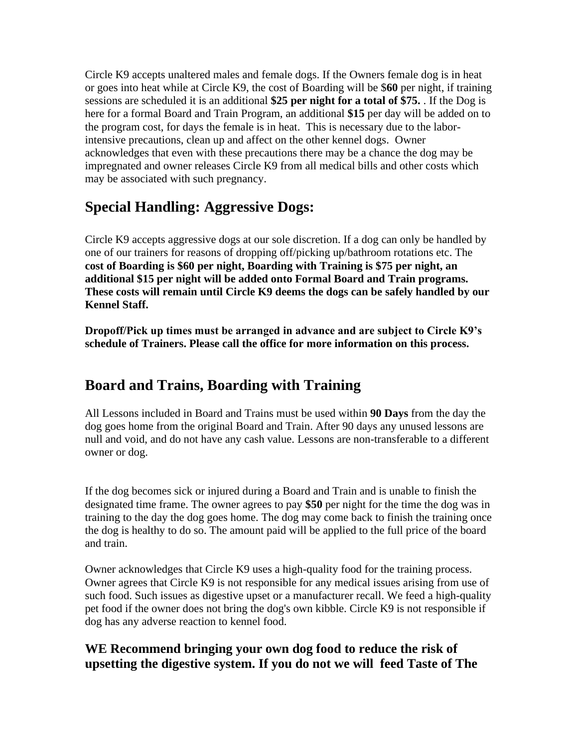Circle K9 accepts unaltered males and female dogs. If the Owners female dog is in heat or goes into heat while at Circle K9, the cost of Boarding will be \$**60** per night, if training sessions are scheduled it is an additional **\$25 per night for a total of \$75.** . If the Dog is here for a formal Board and Train Program, an additional **\$15** per day will be added on to the program cost, for days the female is in heat. This is necessary due to the laborintensive precautions, clean up and affect on the other kennel dogs. Owner acknowledges that even with these precautions there may be a chance the dog may be impregnated and owner releases Circle K9 from all medical bills and other costs which may be associated with such pregnancy.

# **Special Handling: Aggressive Dogs:**

Circle K9 accepts aggressive dogs at our sole discretion. If a dog can only be handled by one of our trainers for reasons of dropping off/picking up/bathroom rotations etc. The **cost of Boarding is \$60 per night, Boarding with Training is \$75 per night, an additional \$15 per night will be added onto Formal Board and Train programs. These costs will remain until Circle K9 deems the dogs can be safely handled by our Kennel Staff.** 

**Dropoff/Pick up times must be arranged in advance and are subject to Circle K9's schedule of Trainers. Please call the office for more information on this process.** 

### **Board and Trains, Boarding with Training**

All Lessons included in Board and Trains must be used within **90 Days** from the day the dog goes home from the original Board and Train. After 90 days any unused lessons are null and void, and do not have any cash value. Lessons are non-transferable to a different owner or dog.

If the dog becomes sick or injured during a Board and Train and is unable to finish the designated time frame. The owner agrees to pay **\$50** per night for the time the dog was in training to the day the dog goes home. The dog may come back to finish the training once the dog is healthy to do so. The amount paid will be applied to the full price of the board and train.

Owner acknowledges that Circle K9 uses a high-quality food for the training process. Owner agrees that Circle K9 is not responsible for any medical issues arising from use of such food. Such issues as digestive upset or a manufacturer recall. We feed a high-quality pet food if the owner does not bring the dog's own kibble. Circle K9 is not responsible if dog has any adverse reaction to kennel food.

#### **WE Recommend bringing your own dog food to reduce the risk of upsetting the digestive system. If you do not we will feed Taste of The**